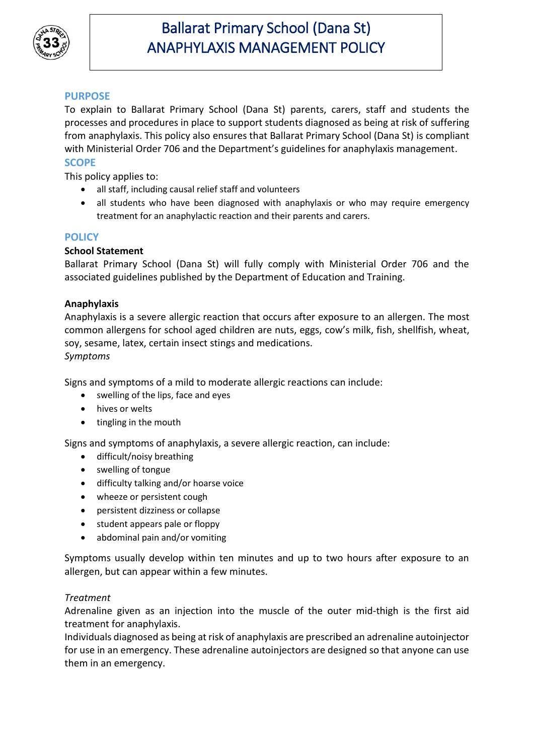

## **PURPOSE**

To explain to Ballarat Primary School (Dana St) parents, carers, staff and students the processes and procedures in place to support students diagnosed as being at risk of suffering from anaphylaxis. This policy also ensures that Ballarat Primary School (Dana St) is compliant with Ministerial Order 706 and the Department's guidelines for anaphylaxis management. **SCOPE**

This policy applies to:

- all staff, including causal relief staff and volunteers
- all students who have been diagnosed with anaphylaxis or who may require emergency treatment for an anaphylactic reaction and their parents and carers.

### **POLICY**

#### **School Statement**

Ballarat Primary School (Dana St) will fully comply with Ministerial Order 706 and the associated guidelines published by the Department of Education and Training.

#### **Anaphylaxis**

Anaphylaxis is a severe allergic reaction that occurs after exposure to an allergen. The most common allergens for school aged children are nuts, eggs, cow's milk, fish, shellfish, wheat, soy, sesame, latex, certain insect stings and medications. *Symptoms*

Signs and symptoms of a mild to moderate allergic reactions can include:

- swelling of the lips, face and eyes
- hives or welts
- tingling in the mouth

Signs and symptoms of anaphylaxis, a severe allergic reaction, can include:

- difficult/noisy breathing
- swelling of tongue
- difficulty talking and/or hoarse voice
- wheeze or persistent cough
- persistent dizziness or collapse
- student appears pale or floppy
- abdominal pain and/or vomiting

Symptoms usually develop within ten minutes and up to two hours after exposure to an allergen, but can appear within a few minutes.

#### *Treatment*

Adrenaline given as an injection into the muscle of the outer mid-thigh is the first aid treatment for anaphylaxis.

Individuals diagnosed as being at risk of anaphylaxis are prescribed an adrenaline autoinjector for use in an emergency. These adrenaline autoinjectors are designed so that anyone can use them in an emergency.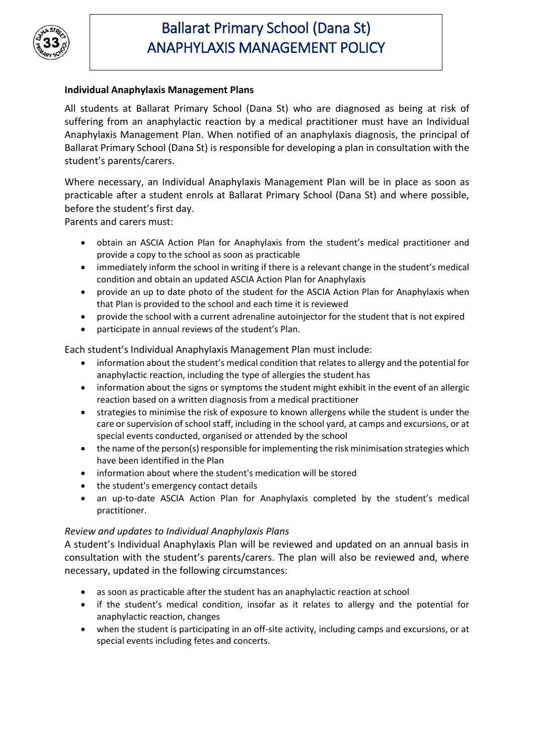

### **Individual Anaphylaxis Management Plans**

All students at Ballarat Primary School (Dana St) who are diagnosed as being at risk of suffering from an anaphylactic reaction by a medical practitioner must have an Individual Anaphylaxis Management Plan. When notified of an anaphylaxis diagnosis, the principal of Ballarat Primary School (Dana St) is responsible for developing a plan in consultation with the student's parents/carers.

Where necessary, an Individual Anaphylaxis Management Plan will be in place as soon as practicable after a student enrols at Ballarat Primary School (Dana St) and where possible, before the student's first day.

Parents and carers must:

- obtain an ASCIA Action Plan for Anaphylaxis from the student's medical practitioner and provide a copy to the school as soon as practicable
- immediately inform the school in writing if there is a relevant change in the student's medical condition and obtain an updated ASCIA Action Plan for Anaphylaxis
- provide an up to date photo of the student for the ASCIA Action Plan for Anaphylaxis when that Plan is provided to the school and each time it is reviewed
- provide the school with a current adrenaline autoinjector for the student that is not expired
- participate in annual reviews of the student's Plan.

Each student's Individual Anaphylaxis Management Plan must include:

- information about the student's medical condition that relates to allergy and the potential for anaphylactic reaction, including the type of allergies the student has
- information about the signs or symptoms the student might exhibit in the event of an allergic reaction based on a written diagnosis from a medical practitioner
- strategies to minimise the risk of exposure to known allergens while the student is under the care or supervision of school staff, including in the school yard, at camps and excursions, or at special events conducted, organised or attended by the school
- the name of the person(s) responsible for implementing the risk minimisation strategies which have been identified in the Plan
- information about where the student's medication will be stored
- the student's emergency contact details
- an up-to-date ASCIA Action Plan for Anaphylaxis completed by the student's medical practitioner.

#### *Review and updates to Individual Anaphylaxis Plans*

A student's Individual Anaphylaxis Plan will be reviewed and updated on an annual basis in consultation with the student's parents/carers. The plan will also be reviewed and, where necessary, updated in the following circumstances:

- as soon as practicable after the student has an anaphylactic reaction at school
- if the student's medical condition, insofar as it relates to allergy and the potential for anaphylactic reaction, changes
- when the student is participating in an off-site activity, including camps and excursions, or at special events including fetes and concerts.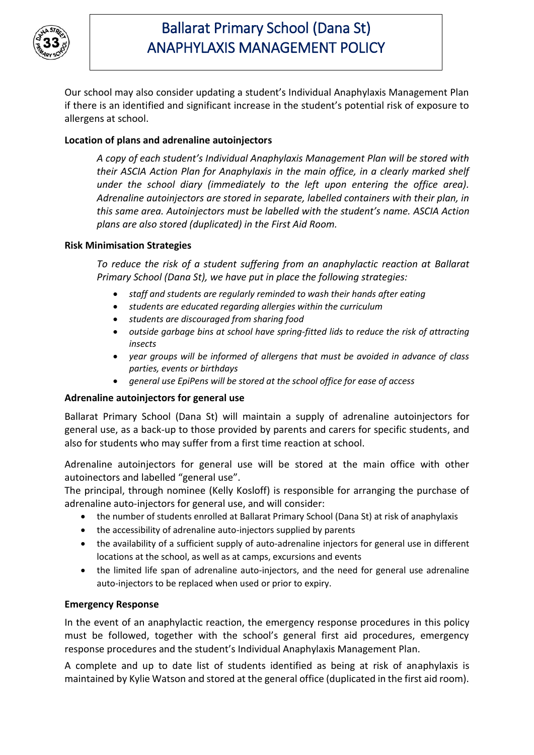

Our school may also consider updating a student's Individual Anaphylaxis Management Plan if there is an identified and significant increase in the student's potential risk of exposure to allergens at school.

### **Location of plans and adrenaline autoinjectors**

*A copy of each student's Individual Anaphylaxis Management Plan will be stored with their ASCIA Action Plan for Anaphylaxis in the main office, in a clearly marked shelf under the school diary (immediately to the left upon entering the office area). Adrenaline autoinjectors are stored in separate, labelled containers with their plan, in this same area. Autoinjectors must be labelled with the student's name. ASCIA Action plans are also stored (duplicated) in the First Aid Room.* 

#### **Risk Minimisation Strategies**

*To reduce the risk of a student suffering from an anaphylactic reaction at Ballarat Primary School (Dana St), we have put in place the following strategies:*

- *staff and students are regularly reminded to wash their hands after eating*
- *students are educated regarding allergies within the curriculum*
- *students are discouraged from sharing food*
- *outside garbage bins at school have spring-fitted lids to reduce the risk of attracting insects*
- *year groups will be informed of allergens that must be avoided in advance of class parties, events or birthdays*
- *general use EpiPens will be stored at the school office for ease of access*

#### **Adrenaline autoinjectors for general use**

Ballarat Primary School (Dana St) will maintain a supply of adrenaline autoinjectors for general use, as a back-up to those provided by parents and carers for specific students, and also for students who may suffer from a first time reaction at school.

Adrenaline autoinjectors for general use will be stored at the main office with other autoinectors and labelled "general use".

The principal, through nominee (Kelly Kosloff) is responsible for arranging the purchase of adrenaline auto-injectors for general use, and will consider:

- the number of students enrolled at Ballarat Primary School (Dana St) at risk of anaphylaxis
- the accessibility of adrenaline auto-injectors supplied by parents
- the availability of a sufficient supply of auto-adrenaline injectors for general use in different locations at the school, as well as at camps, excursions and events
- the limited life span of adrenaline auto-injectors, and the need for general use adrenaline auto-injectors to be replaced when used or prior to expiry.

#### **Emergency Response**

In the event of an anaphylactic reaction, the emergency response procedures in this policy must be followed, together with the school's general first aid procedures, emergency response procedures and the student's Individual Anaphylaxis Management Plan.

A complete and up to date list of students identified as being at risk of anaphylaxis is maintained by Kylie Watson and stored at the general office (duplicated in the first aid room).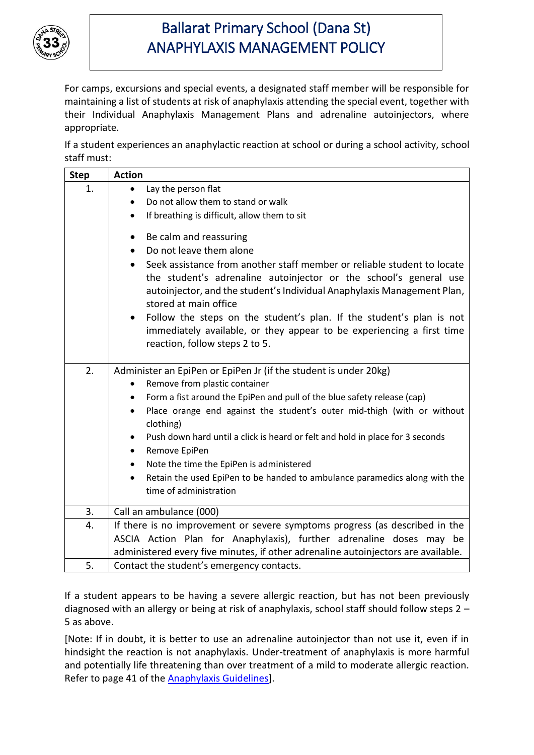

For camps, excursions and special events, a designated staff member will be responsible for maintaining a list of students at risk of anaphylaxis attending the special event, together with their Individual Anaphylaxis Management Plans and adrenaline autoinjectors, where appropriate.

If a student experiences an anaphylactic reaction at school or during a school activity, school staff must:

| <b>Step</b> | <b>Action</b>                                                                                                                                                                                                                                                                                                                                                                                                                                                                                                                                                                                         |
|-------------|-------------------------------------------------------------------------------------------------------------------------------------------------------------------------------------------------------------------------------------------------------------------------------------------------------------------------------------------------------------------------------------------------------------------------------------------------------------------------------------------------------------------------------------------------------------------------------------------------------|
| 1.          | Lay the person flat<br>$\bullet$                                                                                                                                                                                                                                                                                                                                                                                                                                                                                                                                                                      |
|             | Do not allow them to stand or walk<br>$\bullet$                                                                                                                                                                                                                                                                                                                                                                                                                                                                                                                                                       |
|             | If breathing is difficult, allow them to sit<br>$\bullet$                                                                                                                                                                                                                                                                                                                                                                                                                                                                                                                                             |
|             | Be calm and reassuring<br>$\bullet$<br>Do not leave them alone<br>$\bullet$<br>Seek assistance from another staff member or reliable student to locate<br>$\bullet$<br>the student's adrenaline autoinjector or the school's general use<br>autoinjector, and the student's Individual Anaphylaxis Management Plan,<br>stored at main office<br>Follow the steps on the student's plan. If the student's plan is not<br>$\bullet$<br>immediately available, or they appear to be experiencing a first time                                                                                            |
|             | reaction, follow steps 2 to 5.                                                                                                                                                                                                                                                                                                                                                                                                                                                                                                                                                                        |
| 2.          | Administer an EpiPen or EpiPen Jr (if the student is under 20kg)<br>Remove from plastic container<br>٠<br>Form a fist around the EpiPen and pull of the blue safety release (cap)<br>$\bullet$<br>Place orange end against the student's outer mid-thigh (with or without<br>$\bullet$<br>clothing)<br>Push down hard until a click is heard or felt and hold in place for 3 seconds<br>$\bullet$<br>Remove EpiPen<br>$\bullet$<br>Note the time the EpiPen is administered<br>٠<br>Retain the used EpiPen to be handed to ambulance paramedics along with the<br>$\bullet$<br>time of administration |
| 3.          | Call an ambulance (000)                                                                                                                                                                                                                                                                                                                                                                                                                                                                                                                                                                               |
| 4.          | If there is no improvement or severe symptoms progress (as described in the<br>ASCIA Action Plan for Anaphylaxis), further adrenaline doses may be<br>administered every five minutes, if other adrenaline autoinjectors are available.                                                                                                                                                                                                                                                                                                                                                               |
| 5.          | Contact the student's emergency contacts.                                                                                                                                                                                                                                                                                                                                                                                                                                                                                                                                                             |

If a student appears to be having a severe allergic reaction, but has not been previously diagnosed with an allergy or being at risk of anaphylaxis, school staff should follow steps 2 – 5 as above.

[Note: If in doubt, it is better to use an adrenaline autoinjector than not use it, even if in hindsight the reaction is not anaphylaxis. Under-treatment of anaphylaxis is more harmful and potentially life threatening than over treatment of a mild to moderate allergic reaction. Refer to page 41 of the [Anaphylaxis](http://www.education.vic.gov.au/school/teachers/health/pages/anaphylaxisschl.aspx) Guidelines].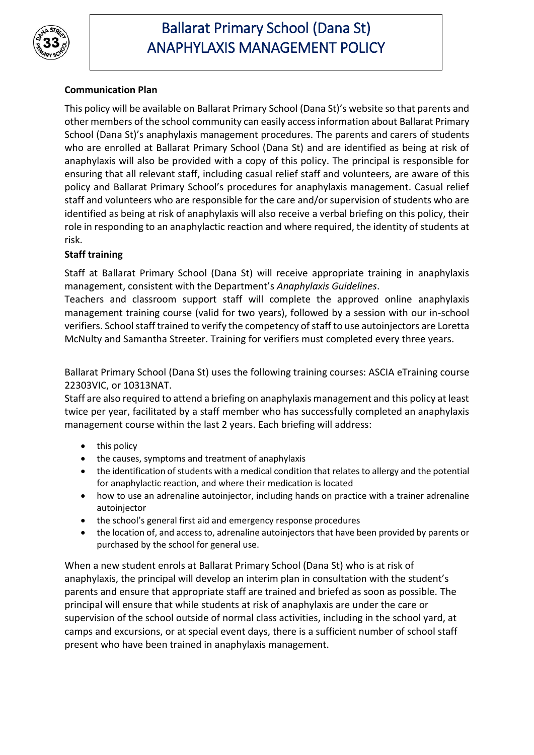

## **Communication Plan**

This policy will be available on Ballarat Primary School (Dana St)'s website so that parents and other members of the school community can easily access information about Ballarat Primary School (Dana St)'s anaphylaxis management procedures. The parents and carers of students who are enrolled at Ballarat Primary School (Dana St) and are identified as being at risk of anaphylaxis will also be provided with a copy of this policy. The principal is responsible for ensuring that all relevant staff, including casual relief staff and volunteers, are aware of this policy and Ballarat Primary School's procedures for anaphylaxis management. Casual relief staff and volunteers who are responsible for the care and/or supervision of students who are identified as being at risk of anaphylaxis will also receive a verbal briefing on this policy, their role in responding to an anaphylactic reaction and where required, the identity of students at risk.

## **Staff training**

Staff at Ballarat Primary School (Dana St) will receive appropriate training in anaphylaxis management, consistent with the Department's *Anaphylaxis Guidelines*.

Teachers and classroom support staff will complete the approved online anaphylaxis management training course (valid for two years), followed by a session with our in-school verifiers. School staff trained to verify the competency of staff to use autoinjectors are Loretta McNulty and Samantha Streeter. Training for verifiers must completed every three years.

Ballarat Primary School (Dana St) uses the following training courses: ASCIA eTraining course 22303VIC, or 10313NAT.

Staff are also required to attend a briefing on anaphylaxis management and this policy at least twice per year, facilitated by a staff member who has successfully completed an anaphylaxis management course within the last 2 years. Each briefing will address:

- this policy
- the causes, symptoms and treatment of anaphylaxis
- the identification of students with a medical condition that relates to allergy and the potential for anaphylactic reaction, and where their medication is located
- how to use an adrenaline autoinjector, including hands on practice with a trainer adrenaline autoinjector
- the school's general first aid and emergency response procedures
- the location of, and access to, adrenaline autoinjectors that have been provided by parents or purchased by the school for general use.

When a new student enrols at Ballarat Primary School (Dana St) who is at risk of anaphylaxis, the principal will develop an interim plan in consultation with the student's parents and ensure that appropriate staff are trained and briefed as soon as possible. The principal will ensure that while students at risk of anaphylaxis are under the care or supervision of the school outside of normal class activities, including in the school yard, at camps and excursions, or at special event days, there is a sufficient number of school staff present who have been trained in anaphylaxis management.